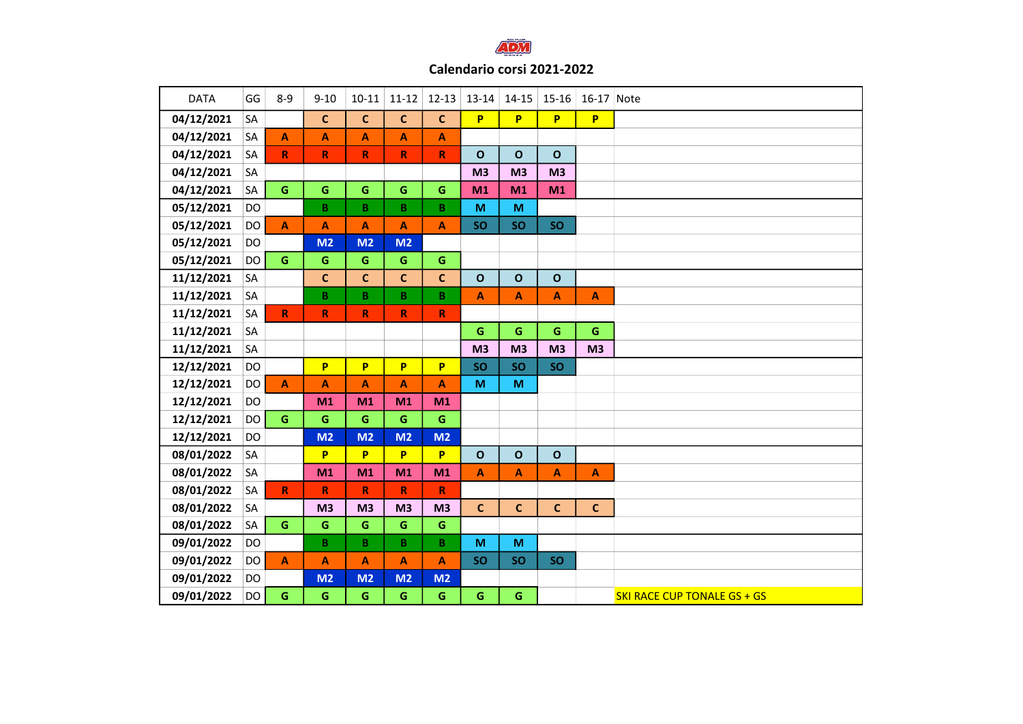

| <b>DATA</b> | GG        | $8 - 9$                   | $9 - 10$                | $10 - 11$                 | $11 - 12$                 | $12 - 13$                 | 13-14                     | $14 - 15$                                                                             | 15-16                     | 16-17 Note                |                                    |
|-------------|-----------|---------------------------|-------------------------|---------------------------|---------------------------|---------------------------|---------------------------|---------------------------------------------------------------------------------------|---------------------------|---------------------------|------------------------------------|
| 04/12/2021  | SA        |                           | $\mathbf c$             | $\mathbf{C}$              | $\mathbf{C}$              | $\mathbf{C}$              | P                         | P                                                                                     | P.                        | P                         |                                    |
| 04/12/2021  | SA        | $\boldsymbol{\mathsf{A}}$ | A                       | $\boldsymbol{\mathsf{A}}$ | $\boldsymbol{\mathsf{A}}$ | $\boldsymbol{\mathsf{A}}$ |                           |                                                                                       |                           |                           |                                    |
| 04/12/2021  | SA        | ${\sf R}$                 | $\pmb{\mathsf{R}}$      | $\boldsymbol{\mathsf{R}}$ | $\pmb{\mathsf{R}}$        | ${\sf R}$                 | $\mathbf{o}$              | $\mathbf{o}$                                                                          | $\mathbf{o}$              |                           |                                    |
| 04/12/2021  | SA        |                           |                         |                           |                           |                           | M <sub>3</sub>            | M <sub>3</sub>                                                                        | M <sub>3</sub>            |                           |                                    |
| 04/12/2021  | SA        | $\mathbf G$               | G                       | $\mathsf G$               | G                         | $\mathsf G$               | M1                        | M1                                                                                    | M1                        |                           |                                    |
| 05/12/2021  | DO        |                           | $\overline{\mathbf{B}}$ | $\overline{\mathbf{B}}$   | $\overline{\mathbf{B}}$   | B                         | M                         | M                                                                                     |                           |                           |                                    |
| 05/12/2021  | DO        | $\mathbf{A}$              | A                       | A                         | A                         | $\boldsymbol{\mathsf{A}}$ | <b>SO</b>                 | <b>SO</b>                                                                             | <b>SO</b>                 |                           |                                    |
| 05/12/2021  | DO        |                           | M <sub>2</sub>          | M <sub>2</sub>            | M <sub>2</sub>            |                           |                           |                                                                                       |                           |                           |                                    |
| 05/12/2021  | DO        | $\mathsf G$               | ${\mathsf G}$           | $\mathbf G$               | ${\mathsf G}$             | $\mathsf G$               |                           |                                                                                       |                           |                           |                                    |
| 11/12/2021  | SA        |                           | $\mathbf c$             | $\mathbf{C}$              | $\mathbf c$               | $\mathbf{C}$              | $\mathbf{o}$              | $\mathbf{o}$                                                                          | $\mathbf{o}$              |                           |                                    |
| 11/12/2021  | <b>SA</b> |                           | $\, {\bf B} \,$         | $\mathbf{B}$              | $\mathbf{B}$              | B                         | A                         | A                                                                                     | $\blacktriangle$          | A                         |                                    |
| 11/12/2021  | SA        | ${\sf R}$                 | $\mathbf R$             | $\mathbf R$               | $\mathbf R$               | $\mathbf R$               |                           |                                                                                       |                           |                           |                                    |
| 11/12/2021  | SA        |                           |                         |                           |                           |                           | $\mathbf G$               | $\mathsf G$                                                                           | G                         | G                         |                                    |
| 11/12/2021  | SA        |                           |                         |                           |                           |                           | M <sub>3</sub>            | M <sub>3</sub>                                                                        | M <sub>3</sub>            | M <sub>3</sub>            |                                    |
| 12/12/2021  | DO        |                           | P                       | P                         | P                         | P                         | SO                        | SO                                                                                    | SO                        |                           |                                    |
| 12/12/2021  | DO        | $\boldsymbol{A}$          | A                       | A                         | $\boldsymbol{\mathsf{A}}$ | $\boldsymbol{\mathsf{A}}$ | $\mathsf{M}\xspace$       | $\mathsf{M}% _{T}=\mathsf{M}_{T}\!\left( a,b\right) ,\ \mathsf{M}_{T}=\mathsf{M}_{T}$ |                           |                           |                                    |
| 12/12/2021  | DO        |                           | M <sub>1</sub>          | M1                        | M1                        | M1                        |                           |                                                                                       |                           |                           |                                    |
| 12/12/2021  | <b>DO</b> | G                         | $\mathsf G$             | G                         | $\mathsf G$               | $\mathsf G$               |                           |                                                                                       |                           |                           |                                    |
| 12/12/2021  | <b>DO</b> |                           | M <sub>2</sub>          | M <sub>2</sub>            | M <sub>2</sub>            | M <sub>2</sub>            |                           |                                                                                       |                           |                           |                                    |
| 08/01/2022  | SA        |                           | P                       | P                         | P                         | P                         | $\mathbf{o}$              | $\mathbf{o}$                                                                          | $\mathbf{o}$              |                           |                                    |
| 08/01/2022  | SA        |                           | M <sub>1</sub>          | M1                        | M1                        | M1                        | $\boldsymbol{\mathsf{A}}$ | A                                                                                     | $\boldsymbol{\mathsf{A}}$ | $\boldsymbol{\mathsf{A}}$ |                                    |
| 08/01/2022  | SA        | $\mathbf R$               | ${\sf R}$               | $\mathbf R$               | $\mathbf R$               | $\mathbf R$               |                           |                                                                                       |                           |                           |                                    |
| 08/01/2022  | SA        |                           | M <sub>3</sub>          | M <sub>3</sub>            | M <sub>3</sub>            | M <sub>3</sub>            | $\mathbf{C}$              | $\mathbf{C}$                                                                          | $\mathbf{C}$              | $\mathbf{C}$              |                                    |
| 08/01/2022  | SA        | $\mathbf G$               | G                       | G                         | G                         | G                         |                           |                                                                                       |                           |                           |                                    |
| 09/01/2022  | DO        |                           | $\mathbf B$             | $\mathsf B$               | $\, {\bf B} \,$           | B                         | M                         | M                                                                                     |                           |                           |                                    |
| 09/01/2022  | DO        | $\overline{A}$            | A                       | $\overline{\mathsf{A}}$   | $\mathbf{A}$              | $\boldsymbol{\mathsf{A}}$ | <b>SO</b>                 | <b>SO</b>                                                                             | <b>SO</b>                 |                           |                                    |
| 09/01/2022  | DO        |                           | M <sub>2</sub>          | M <sub>2</sub>            | M <sub>2</sub>            | M <sub>2</sub>            |                           |                                                                                       |                           |                           |                                    |
| 09/01/2022  | DO        | $\mathsf G$               | $\mathsf G$             | $\mathsf G$               | $\mathsf G$               | $\mathbf G$               | G                         | G                                                                                     |                           |                           | <b>SKI RACE CUP TONALE GS + GS</b> |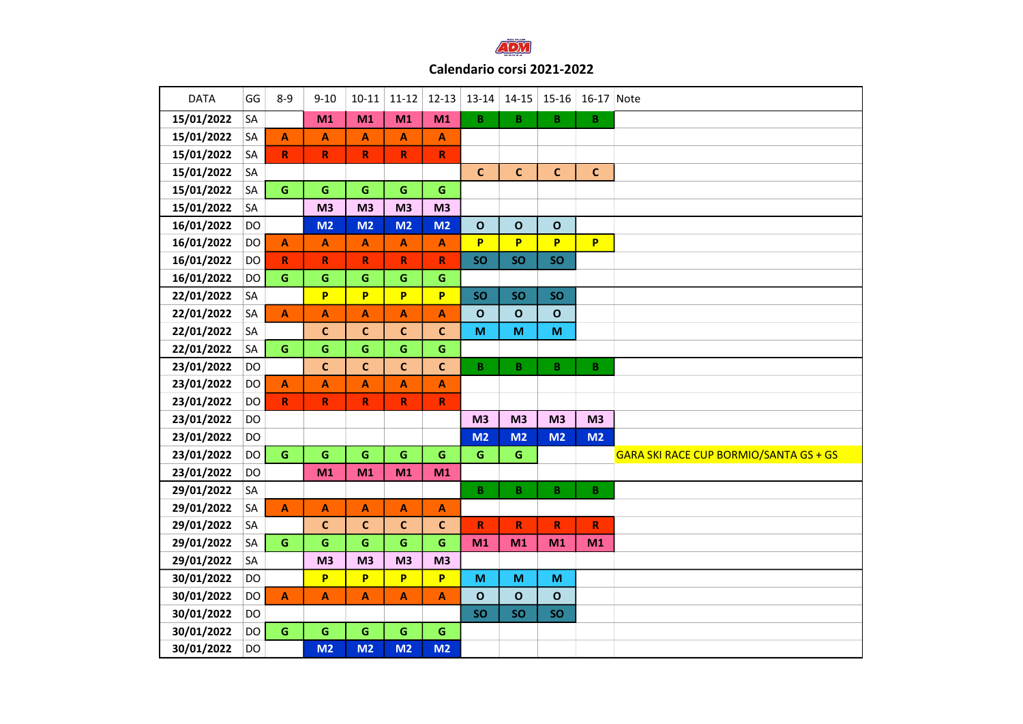

| <b>DATA</b> | GG        | $8 - 9$      | $9 - 10$                  | $10-11$                   | $11 - 12$                 | $12 - 13$               | 13-14              | $14 - 15$       | $15 - 16$      | 16-17 Note     |                                        |
|-------------|-----------|--------------|---------------------------|---------------------------|---------------------------|-------------------------|--------------------|-----------------|----------------|----------------|----------------------------------------|
| 15/01/2022  | SA        |              | M1                        | M1                        | M1                        | M1                      | $\mathsf B$        | $\, {\bf B}$    | B              | B              |                                        |
| 15/01/2022  | <b>SA</b> | $\mathbf{A}$ | $\boldsymbol{\mathsf{A}}$ | $\boldsymbol{\mathsf{A}}$ | A                         | A                       |                    |                 |                |                |                                        |
| 15/01/2022  | SA        | $\mathbf R$  | $\mathsf R$               | $\mathsf R$               | $\mathbf R$               | $\overline{\mathsf{R}}$ |                    |                 |                |                |                                        |
| 15/01/2022  | SA        |              |                           |                           |                           |                         | $\mathbf{C}$       | $\mathbf{C}$    | $\mathbf c$    | $\mathbf{C}$   |                                        |
| 15/01/2022  | <b>SA</b> | $\mathbf G$  | $\mathsf G$               | $\mathsf{G}$              | $\mathbf G$               | $\mathsf G$             |                    |                 |                |                |                                        |
| 15/01/2022  | <b>SA</b> |              | M <sub>3</sub>            | M <sub>3</sub>            | M <sub>3</sub>            | M3                      |                    |                 |                |                |                                        |
| 16/01/2022  | DO        |              | M <sub>2</sub>            | M <sub>2</sub>            | M <sub>2</sub>            | M <sub>2</sub>          | $\mathbf{o}$       | $\mathbf{o}$    | $\mathbf{o}$   |                |                                        |
| 16/01/2022  | <b>DO</b> | $\mathbf{A}$ | $\boldsymbol{\mathsf{A}}$ | $\mathbf{A}$              | $\mathbf{A}$              | A                       | P                  | P               | P              | P              |                                        |
| 16/01/2022  | <b>DO</b> | $\mathbf R$  | $\mathbf R$               | $\mathbf R$               | $\mathbf R$               | $\overline{\mathsf{R}}$ | <b>SO</b>          | <b>SO</b>       | <b>SO</b>      |                |                                        |
| 16/01/2022  | <b>DO</b> | G            | $\mathsf G$               | $\mathsf{G}$              | $\mathsf G$               | $\mathbf G$             |                    |                 |                |                |                                        |
| 22/01/2022  | SA        |              | P                         | P                         | P                         | P                       | <b>SO</b>          | <b>SO</b>       | SO             |                |                                        |
| 22/01/2022  | SA        | $\mathbf{A}$ | $\overline{\mathsf{A}}$   | A                         | A                         | A                       | $\mathbf{o}$       | $\mathbf{o}$    | $\mathbf{o}$   |                |                                        |
| 22/01/2022  | <b>SA</b> |              | $\mathbf c$               | $\mathbf c$               | $\mathbf c$               | $\mathsf{C}$            | M                  | M               | M              |                |                                        |
| 22/01/2022  | SA        | $\mathbf G$  | $\mathsf G$               | $\mathbf G$               | $\mathsf G$               | $\mathsf G$             |                    |                 |                |                |                                        |
| 23/01/2022  | <b>DO</b> |              | $\mathbf{C}$              | $\mathbf{C}$              | $\mathsf{C}$              | $\mathbf{C}$            | $\mathsf B$        | $\, {\bf B} \,$ | B              | B              |                                        |
| 23/01/2022  | <b>DO</b> | $\mathbf{A}$ | $\mathbf{A}$              | $\boldsymbol{\mathsf{A}}$ | $\boldsymbol{\mathsf{A}}$ | $\blacktriangle$        |                    |                 |                |                |                                        |
| 23/01/2022  | DO        | $\mathbf R$  | $\mathbb{R}$              | $\mathbf R$               | $\mathbf R$               | R                       |                    |                 |                |                |                                        |
| 23/01/2022  | <b>DO</b> |              |                           |                           |                           |                         | M <sub>3</sub>     | M <sub>3</sub>  | M <sub>3</sub> | M <sub>3</sub> |                                        |
| 23/01/2022  | <b>DO</b> |              |                           |                           |                           |                         | M <sub>2</sub>     | M <sub>2</sub>  | M <sub>2</sub> | M2             |                                        |
| 23/01/2022  | <b>DO</b> | G            | $\mathbf G$               | G                         | ${\mathsf G}$             | $\mathbf G$             | $\mathbf G$        | ${\mathsf G}$   |                |                | GARA SKI RACE CUP BORMIO/SANTA GS + GS |
| 23/01/2022  | <b>DO</b> |              | M1                        | M1                        | M1                        | M1                      |                    |                 |                |                |                                        |
| 29/01/2022  | SA        |              |                           |                           |                           |                         | $\mathsf B$        | B               | B              | B              |                                        |
| 29/01/2022  | SA        | $\mathbf{A}$ | A                         | $\mathbf{A}$              | A                         | A                       |                    |                 |                |                |                                        |
| 29/01/2022  | <b>SA</b> |              | $\mathbf c$               | $\mathbf C$               | $\mathsf{C}$              | $\mathbf{C}$            | $\pmb{\mathsf{R}}$ | ${\sf R}$       | R              | $\mathbf R$    |                                        |
| 29/01/2022  | SA        | G            | $\mathbf G$               | $\mathbf G$               | $\mathbf G$               | G                       | M1                 | M1              | M1             | M1             |                                        |
| 29/01/2022  | SA        |              | M <sub>3</sub>            | M <sub>3</sub>            | M3                        | M <sub>3</sub>          |                    |                 |                |                |                                        |
| 30/01/2022  | <b>DO</b> |              | P                         | P                         | P                         | P                       | M                  | M               | M              |                |                                        |
| 30/01/2022  | <b>DO</b> | $\mathbf{A}$ | $\mathbf{A}$              | $\mathbf{A}$              | A                         | $\mathbf{A}$            | $\mathbf{o}$       | $\mathbf{o}$    | $\mathbf{o}$   |                |                                        |
| 30/01/2022  | <b>DO</b> |              |                           |                           |                           |                         | SO                 | SO              | <b>SO</b>      |                |                                        |
| 30/01/2022  | DO        | $\mathbf G$  | $\mathsf G$               | $\mathsf G$               | $\mathsf G$               | $\mathbf G$             |                    |                 |                |                |                                        |
| 30/01/2022  | <b>DO</b> |              | M <sub>2</sub>            | M2                        | M <sub>2</sub>            | M <sub>2</sub>          |                    |                 |                |                |                                        |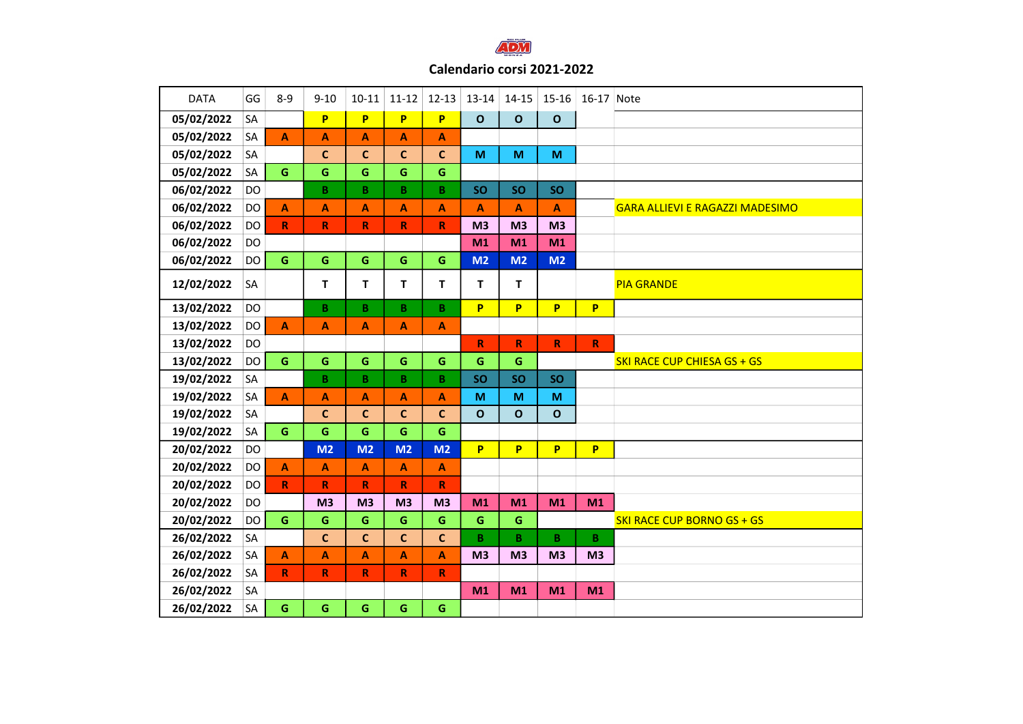

## Calendario corsi 2021-2022

| <b>DATA</b> | GG        | $8 - 9$      | $9 - 10$        | $10 - 11$        | $11-12$                   | $12 - 13$                 | $13 - 14$      | $14 - 15$      | 15-16          | 16-17 Note     |                                        |
|-------------|-----------|--------------|-----------------|------------------|---------------------------|---------------------------|----------------|----------------|----------------|----------------|----------------------------------------|
| 05/02/2022  | SA        |              | P.              | <b>P</b>         | P.                        | P                         | $\mathbf{o}$   | $\mathbf{o}$   | $\mathbf{o}$   |                |                                        |
| 05/02/2022  | SA        | A            | A               | A                | $\mathbf{A}$              | A                         |                |                |                |                |                                        |
| 05/02/2022  | SA        |              | $\mathbf{C}$    | $\mathbf c$      | $\mathbf{C}$              | $\mathbf c$               | M              | M              | M              |                |                                        |
| 05/02/2022  | <b>SA</b> | G            | G               | G                | $\mathsf G$               | G                         |                |                |                |                |                                        |
| 06/02/2022  | DO        |              | B.              | $\mathbf{B}$     | $\mathbf{B}$              | $\mathbf B$               | <b>SO</b>      | <b>SO</b>      | <b>SO</b>      |                |                                        |
| 06/02/2022  | DO        | A            | A               | A                | A                         | $\mathbf{A}$              | A              | A              | A              |                | <b>GARA ALLIEVI E RAGAZZI MADESIMO</b> |
| 06/02/2022  | DO        | $\mathbf R$  | $\mathbf R$     | $\mathbf R$      | $\mathbb{R}$              | $\mathbf R$               | M <sub>3</sub> | M <sub>3</sub> | M <sub>3</sub> |                |                                        |
| 06/02/2022  | DO        |              |                 |                  |                           |                           | M1             | M1             | M1             |                |                                        |
| 06/02/2022  | DO        | $\mathbf G$  | $\mathsf G$     | $\mathsf G$      | G                         | $\mathsf G$               | M <sub>2</sub> | M <sub>2</sub> | M <sub>2</sub> |                |                                        |
| 12/02/2022  | SA        |              | T               | T.               | T.                        | T                         | $\mathbf{T}$   | т              |                |                | <b>PIA GRANDE</b>                      |
| 13/02/2022  | DO        |              | $\, {\bf B} \,$ | $\, {\bf B} \,$  | $\mathbf{B}$              | B                         | P              | P              | P              | P              |                                        |
| 13/02/2022  | <b>DO</b> | $\mathbf{A}$ | A               | $\mathbf{A}$     | $\mathbf{A}$              | $\mathbf{A}$              |                |                |                |                |                                        |
| 13/02/2022  | DO        |              |                 |                  |                           |                           | $\mathsf{R}$   | $\mathsf R$    | $\mathsf R$    | $\mathbb{R}$   |                                        |
| 13/02/2022  | DO        | $\mathbf G$  | $\mathbf G$     | $\mathbf G$      | $\mathsf G$               | $\mathsf G$               | G              | G              |                |                | <b>SKI RACE CUP CHIESA GS + GS</b>     |
| 19/02/2022  | SA        |              | $\mathbf{B}$    | B                | $\mathbf{B}$              | $\, {\bf B} \,$           | SO             | SO             | <b>SO</b>      |                |                                        |
| 19/02/2022  | SA        | $\mathbf{A}$ | A               | A                | $\boldsymbol{\mathsf{A}}$ | A                         | M              | M              | M              |                |                                        |
| 19/02/2022  | SA        |              | $\mathbf c$     | $\mathbf c$      | $\mathbf c$               | $\mathsf{C}$              | $\mathbf{o}$   | $\mathbf o$    | O              |                |                                        |
| 19/02/2022  | SA        | $\mathbf G$  | G               | G                | G                         | G                         |                |                |                |                |                                        |
| 20/02/2022  | DO        |              | M <sub>2</sub>  | M <sub>2</sub>   | M <sub>2</sub>            | M <sub>2</sub>            | P              | P              | P              | P              |                                        |
| 20/02/2022  | DO        | A            | A               | A                | A                         | A                         |                |                |                |                |                                        |
| 20/02/2022  | DO        | $\mathbb{R}$ | $\mathbf R$     | $\mathbf R$      | $\mathbf R$               | $\mathbf R$               |                |                |                |                |                                        |
| 20/02/2022  | DO        |              | M <sub>3</sub>  | M <sub>3</sub>   | M <sub>3</sub>            | M <sub>3</sub>            | M1             | M1             | M1             | M1             |                                        |
| 20/02/2022  | DO        | $\mathbf G$  | $\mathbf G$     | $\mathbf G$      | $\mathsf G$               | $\mathsf G$               | $\mathbf G$    | G              |                |                | <b>SKI RACE CUP BORNO GS + GS</b>      |
| 26/02/2022  | SA        |              | $\mathbf c$     | $\mathbf{C}$     | $\mathbf{C}$              | $\mathbf{C}$              | B              | B              | B              | B              |                                        |
| 26/02/2022  | SA        | A            | A               | $\blacktriangle$ | $\blacktriangle$          | $\boldsymbol{\mathsf{A}}$ | M <sub>3</sub> | M <sub>3</sub> | M <sub>3</sub> | M <sub>3</sub> |                                        |
| 26/02/2022  | SA        | $\mathbb{R}$ | $\mathbb{R}$    | $\mathbf R$      | $\mathbf R$               | $\mathbf R$               |                |                |                |                |                                        |
| 26/02/2022  | SA        |              |                 |                  |                           |                           | M1             | M1             | M1             | M1             |                                        |
| 26/02/2022  | SA        | G            | G               | $\mathsf G$      | $\mathsf G$               | $\mathsf G$               |                |                |                |                |                                        |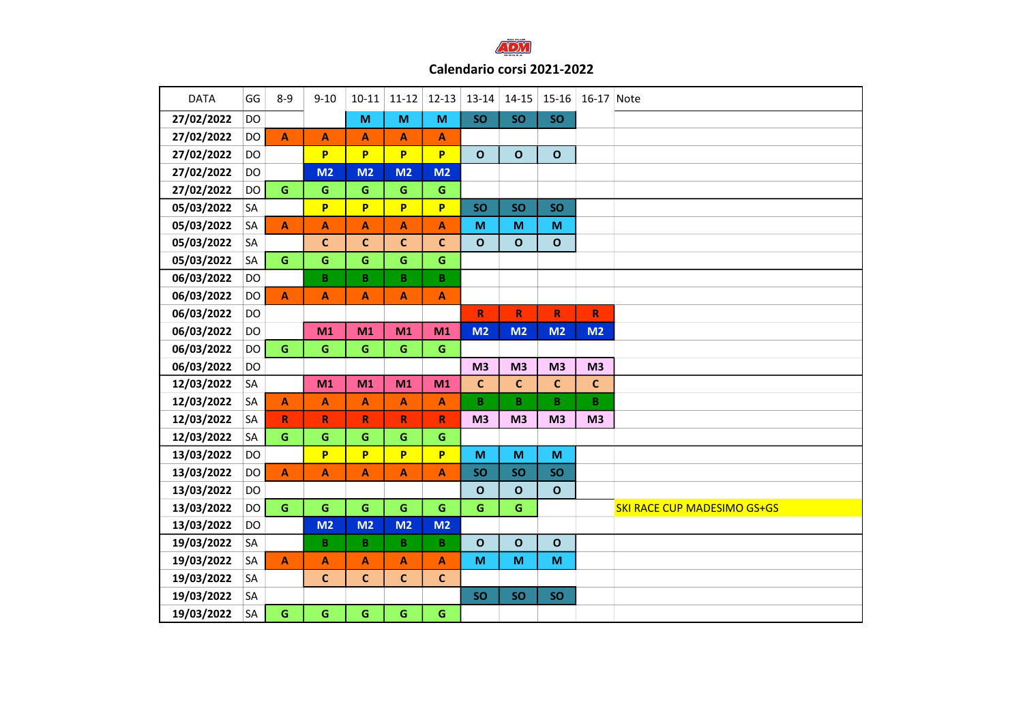

## Calendario corsi 2021-2022

| <b>DATA</b> | GG        | $8 - 9$                 | $9 - 10$                | $10 - 11$                 | $11-12$                   | $12 - 13$                 | 13-14          | $14 - 15$      | 15-16          | 16-17 Note      |                                    |
|-------------|-----------|-------------------------|-------------------------|---------------------------|---------------------------|---------------------------|----------------|----------------|----------------|-----------------|------------------------------------|
| 27/02/2022  | DO        |                         |                         | M                         | $\mathsf{M}$              | $\mathsf{M}$              | SO             | <b>SO</b>      | SO             |                 |                                    |
| 27/02/2022  | DO        | $\mathbf{A}$            | A                       | A                         | A                         | $\boldsymbol{\mathsf{A}}$ |                |                |                |                 |                                    |
| 27/02/2022  | DO        |                         | P.                      | P                         | P                         | P                         | $\mathbf{o}$   | $\mathbf{o}$   | $\mathbf{o}$   |                 |                                    |
| 27/02/2022  | DO        |                         | M <sub>2</sub>          | M <sub>2</sub>            | M <sub>2</sub>            | M <sub>2</sub>            |                |                |                |                 |                                    |
| 27/02/2022  | <b>DO</b> | $\mathbf G$             | $\mathsf G$             | $\mathbf G$               | $\mathsf G$               | $\mathbf G$               |                |                |                |                 |                                    |
| 05/03/2022  | SA        |                         | P                       | P                         | P                         | P                         | SO             | <b>SO</b>      | <b>SO</b>      |                 |                                    |
| 05/03/2022  | SA        | $\mathbf{A}$            | A                       | A                         | A                         | $\mathbf{A}$              | M              | M              | M              |                 |                                    |
| 05/03/2022  | SA        |                         | $\mathbf c$             | $\mathbf{C}$              | $\mathbf c$               | $\mathbf c$               | $\mathbf{o}$   | $\mathbf{o}$   | $\mathbf O$    |                 |                                    |
| 05/03/2022  | SA        | $\mathbf G$             | $\mathsf G$             | $\mathsf G$               | $\mathsf G$               | $\mathsf G$               |                |                |                |                 |                                    |
| 06/03/2022  | DO        |                         | $\overline{\mathbf{B}}$ | $\overline{B}$            | $\overline{\mathbf{B}}$   | $\overline{\mathbf{B}}$   |                |                |                |                 |                                    |
| 06/03/2022  | DO        | $\mathbf{A}$            | A                       | A                         | $\mathbf{A}$              | $\boldsymbol{\mathsf{A}}$ |                |                |                |                 |                                    |
| 06/03/2022  | DO        |                         |                         |                           |                           |                           | $\mathbf R$    | $\mathsf R$    | $\mathsf R$    | $\mathsf R$     |                                    |
| 06/03/2022  | DO        |                         | M <sub>1</sub>          | M1                        | M1                        | M1                        | M <sub>2</sub> | M <sub>2</sub> | M <sub>2</sub> | M2              |                                    |
| 06/03/2022  | DO        | $\mathbf G$             | G                       | $\mathsf G$               | G                         | $\mathbf G$               |                |                |                |                 |                                    |
| 06/03/2022  | <b>DO</b> |                         |                         |                           |                           |                           | M <sub>3</sub> | M <sub>3</sub> | M <sub>3</sub> | M <sub>3</sub>  |                                    |
| 12/03/2022  | SA        |                         | M1                      | M1                        | M1                        | M1                        | $\mathsf{C}$   | $\mathsf{C}$   | $\mathbf{C}$   | $\mathsf{C}$    |                                    |
| 12/03/2022  | SA        | A                       | A                       | $\boldsymbol{\mathsf{A}}$ | $\boldsymbol{\mathsf{A}}$ | $\boldsymbol{\mathsf{A}}$ | B              | B              | B              | $\, {\bf B} \,$ |                                    |
| 12/03/2022  | SA        | $\mathsf{R}$            | $\mathsf R$             | $\mathsf R$               | $\pmb{\mathsf{R}}$        | ${\sf R}$                 | M <sub>3</sub> | M <sub>3</sub> | M <sub>3</sub> | M <sub>3</sub>  |                                    |
| 12/03/2022  | SA        | G                       | $\mathsf G$             | G                         | $\mathsf G$               | $\mathbf G$               |                |                |                |                 |                                    |
| 13/03/2022  | <b>DO</b> |                         | P                       | P                         | P                         | P                         | M              | M              | M              |                 |                                    |
| 13/03/2022  | DO        | $\overline{\mathbf{A}}$ | A                       | $\boldsymbol{\mathsf{A}}$ | $\blacktriangle$          | $\mathbf{A}$              | <b>SO</b>      | <b>SO</b>      | <b>SO</b>      |                 |                                    |
| 13/03/2022  | <b>DO</b> |                         |                         |                           |                           |                           | $\mathbf{o}$   | $\mathbf O$    | $\mathbf O$    |                 |                                    |
| 13/03/2022  | DO        | $\mathbf G$             | $\mathsf{G}$            | $\mathsf G$               | G                         | $\mathbf G$               | $\mathsf G$    | $\mathbf G$    |                |                 | <b>SKI RACE CUP MADESIMO GS+GS</b> |
| 13/03/2022  | <b>DO</b> |                         | M <sub>2</sub>          | M <sub>2</sub>            | M <sub>2</sub>            | M <sub>2</sub>            |                |                |                |                 |                                    |
| 19/03/2022  | SA        |                         | $\overline{B}$          | $\, {\bf B} \,$           | $\, {\bf B} \,$           | $\, {\bf B} \,$           | $\mathbf{o}$   | $\mathbf{o}$   | $\mathbf{o}$   |                 |                                    |
| 19/03/2022  | SA        | A                       | A                       | A                         | A                         | A                         | M              | M              | M              |                 |                                    |
| 19/03/2022  | SA        |                         | $\mathbf{C}$            | $\mathbf{C}$              | $\mathbf{C}$              | $\mathbf{C}$              |                |                |                |                 |                                    |
| 19/03/2022  | SA        |                         |                         |                           |                           |                           | <b>SO</b>      | SO             | <b>SO</b>      |                 |                                    |
| 19/03/2022  | SA        | $\mathsf G$             | G                       | $\mathsf G$               | G                         | $\mathsf G$               |                |                |                |                 |                                    |